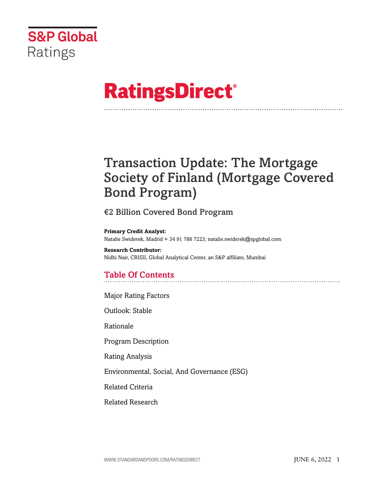

# **RatingsDirect®**

## Transaction Update: The Mortgage Society of Finland (Mortgage Covered Bond Program)

## €2 Billion Covered Bond Program

**Primary Credit Analyst:** Natalie Swiderek, Madrid + 34 91 788 7223; natalie.swiderek@spglobal.com

**Research Contributor:** Nidhi Nair, CRISIL Global Analytical Center, an S&P affiliate, Mumbai

## Table Of Contents

[Major Rating Factors](#page-1-0)

[Outlook: Stable](#page-2-0)

[Rationale](#page-2-1)

[Program Description](#page-3-0)

[Rating Analysis](#page-5-0)

[Environmental, Social, And Governance \(ESG\)](#page-13-0)

[Related Criteria](#page-13-1)

[Related Research](#page-13-2)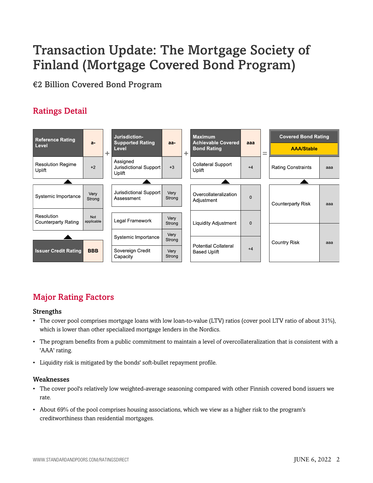## Transaction Update: The Mortgage Society of Finland (Mortgage Covered Bond Program)

€2 Billion Covered Bond Program

## Ratings Detail



## <span id="page-1-0"></span>Major Rating Factors

#### Strengths

- The cover pool comprises mortgage loans with low loan-to-value (LTV) ratios (cover pool LTV ratio of about 31%), which is lower than other specialized mortgage lenders in the Nordics.
- The program benefits from a public commitment to maintain a level of overcollateralization that is consistent with a 'AAA' rating.
- Liquidity risk is mitigated by the bonds' soft-bullet repayment profile.

#### Weaknesses

- The cover pool's relatively low weighted-average seasoning compared with other Finnish covered bond issuers we rate.
- About 69% of the pool comprises housing associations, which we view as a higher risk to the program's creditworthiness than residential mortgages.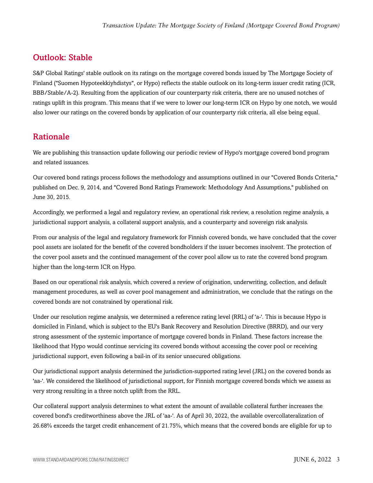## <span id="page-2-0"></span>Outlook: Stable

S&P Global Ratings' stable outlook on its ratings on the mortgage covered bonds issued by The Mortgage Society of Finland ("Suomen Hypoteekkiyhdistys", or Hypo) reflects the stable outlook on its long-term issuer credit rating (ICR, BBB/Stable/A-2). Resulting from the application of our counterparty risk criteria, there are no unused notches of ratings uplift in this program. This means that if we were to lower our long-term ICR on Hypo by one notch, we would also lower our ratings on the covered bonds by application of our counterparty risk criteria, all else being equal.

## <span id="page-2-1"></span>Rationale

We are publishing this transaction update following our periodic review of Hypo's mortgage covered bond program and related issuances.

Our covered bond ratings process follows the methodology and assumptions outlined in our "Covered Bonds Criteria," published on Dec. 9, 2014, and "Covered Bond Ratings Framework: Methodology And Assumptions," published on June 30, 2015.

Accordingly, we performed a legal and regulatory review, an operational risk review, a resolution regime analysis, a jurisdictional support analysis, a collateral support analysis, and a counterparty and sovereign risk analysis.

From our analysis of the legal and regulatory framework for Finnish covered bonds, we have concluded that the cover pool assets are isolated for the benefit of the covered bondholders if the issuer becomes insolvent. The protection of the cover pool assets and the continued management of the cover pool allow us to rate the covered bond program higher than the long-term ICR on Hypo.

Based on our operational risk analysis, which covered a review of origination, underwriting, collection, and default management procedures, as well as cover pool management and administration, we conclude that the ratings on the covered bonds are not constrained by operational risk.

Under our resolution regime analysis, we determined a reference rating level (RRL) of 'a-'. This is because Hypo is domiciled in Finland, which is subject to the EU's Bank Recovery and Resolution Directive (BRRD), and our very strong assessment of the systemic importance of mortgage covered bonds in Finland. These factors increase the likelihood that Hypo would continue servicing its covered bonds without accessing the cover pool or receiving jurisdictional support, even following a bail-in of its senior unsecured obligations.

Our jurisdictional support analysis determined the jurisdiction-supported rating level (JRL) on the covered bonds as 'aa-'. We considered the likelihood of jurisdictional support, for Finnish mortgage covered bonds which we assess as very strong resulting in a three notch uplift from the RRL.

Our collateral support analysis determines to what extent the amount of available collateral further increases the covered bond's creditworthiness above the JRL of 'aa-'. As of April 30, 2022, the available overcollateralization of 26.68% exceeds the target credit enhancement of 21.75%, which means that the covered bonds are eligible for up to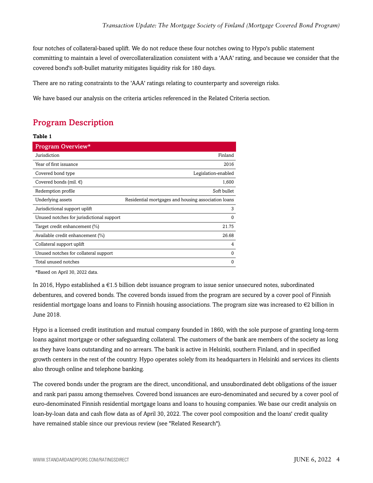four notches of collateral-based uplift. We do not reduce these four notches owing to Hypo's public statement committing to maintain a level of overcollateralization consistent with a 'AAA' rating, and because we consider that the covered bond's soft-bullet maturity mitigates liquidity risk for 180 days.

There are no rating constraints to the 'AAA' ratings relating to counterparty and sovereign risks.

<span id="page-3-0"></span>We have based our analysis on the criteria articles referenced in the Related Criteria section.

## Program Description

#### **Table 1**

| Program Overview*                         |                                                     |
|-------------------------------------------|-----------------------------------------------------|
| Jurisdiction                              | Finland                                             |
| Year of first issuance                    | 2016                                                |
| Covered bond type                         | Legislation-enabled                                 |
| Covered bonds (mil. $\epsilon$ )          | 1,600                                               |
| Redemption profile                        | Soft bullet                                         |
| Underlying assets                         | Residential mortgages and housing association loans |
| Jurisdictional support uplift             | 3                                                   |
| Unused notches for jurisdictional support | $\Omega$                                            |
| Target credit enhancement (%)             | 21.75                                               |
| Available credit enhancement (%)          | 26.68                                               |
| Collateral support uplift                 | 4                                                   |
| Unused notches for collateral support     | $\Omega$                                            |
| Total unused notches                      | $\Omega$                                            |

\*Based on April 30, 2022 data.

In 2016, Hypo established a €1.5 billion debt issuance program to issue senior unsecured notes, subordinated debentures, and covered bonds. The covered bonds issued from the program are secured by a cover pool of Finnish residential mortgage loans and loans to Finnish housing associations. The program size was increased to €2 billion in June 2018.

Hypo is a licensed credit institution and mutual company founded in 1860, with the sole purpose of granting long-term loans against mortgage or other safeguarding collateral. The customers of the bank are members of the society as long as they have loans outstanding and no arrears. The bank is active in Helsinki, southern Finland, and in specified growth centers in the rest of the country. Hypo operates solely from its headquarters in Helsinki and services its clients also through online and telephone banking.

The covered bonds under the program are the direct, unconditional, and unsubordinated debt obligations of the issuer and rank pari passu among themselves. Covered bond issuances are euro-denominated and secured by a cover pool of euro-denominated Finnish residential mortgage loans and loans to housing companies. We base our credit analysis on loan-by-loan data and cash flow data as of April 30, 2022. The cover pool composition and the loans' credit quality have remained stable since our previous review (see "Related Research").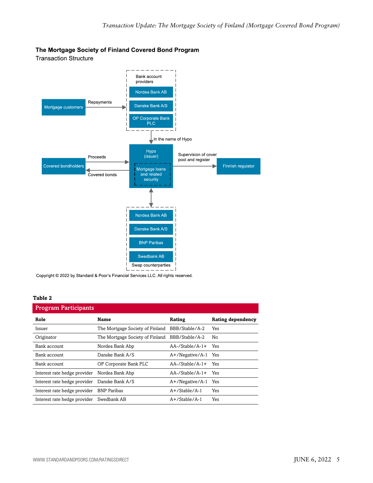#### The Mortgage Society of Finland Covered Bond Program

**Transaction Structure** 



Copyright © 2022 by Standard & Poor's Financial Services LLC. All rights reserved.

#### **Table 2**

| <b>Program Participants</b>                  |                                                |                     |                   |
|----------------------------------------------|------------------------------------------------|---------------------|-------------------|
| Role                                         | Name                                           | Rating              | Rating dependency |
| Issuer                                       | The Mortgage Society of Finland BBB/Stable/A-2 |                     | <b>Yes</b>        |
| Originator                                   | The Mortgage Society of Finland BBB/Stable/A-2 |                     | No                |
| Bank account                                 | Nordea Bank Abp                                | $AA$ -/Stable/A-1+  | Yes               |
| Bank account                                 | Danske Bank A/S                                | A+/Negative/A-1 Yes |                   |
| Bank account                                 | OP Corporate Bank PLC                          | $AA$ -/Stable/A-1+  | Yes               |
| Interest rate hedge provider Nordea Bank Abp |                                                | $AA$ -/Stable/A-1+  | Yes               |
| Interest rate hedge provider                 | Danske Bank A/S                                | A+/Negative/A-1     | <b>Yes</b>        |
| Interest rate hedge provider BNP Paribas     |                                                | $A+$ /Stable/A-1    | Yes               |
| Interest rate hedge provider Swedbank AB     |                                                | $A+$ /Stable/A-1    | Yes               |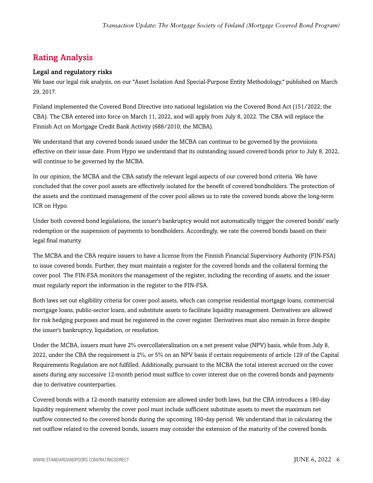## <span id="page-5-0"></span>Rating Analysis

#### Legal and regulatory risks

We base our legal risk analysis, on our "Asset Isolation And Special-Purpose Entity Methodology," published on March 29, 2017.

Finland implemented the Covered Bond Directive into national legislation via the Covered Bond Act (151/2022; the CBA). The CBA entered into force on March 11, 2022, and will apply from July 8, 2022. The CBA will replace the Finnish Act on Mortgage Credit Bank Activity (688/2010; the MCBA).

We understand that any covered bonds issued under the MCBA can continue to be governed by the provisions effective on their issue date. From Hypo we understand that its outstanding issued covered bonds prior to July 8, 2022, will continue to be governed by the MCBA.

In our opinion, the MCBA and the CBA satisfy the relevant legal aspects of our covered bond criteria. We have concluded that the cover pool assets are effectively isolated for the benefit of covered bondholders. The protection of the assets and the continued management of the cover pool allows us to rate the covered bonds above the long-term ICR on Hypo.

Under both covered bond legislations, the issuer's bankruptcy would not automatically trigger the covered bonds' early redemption or the suspension of payments to bondholders. Accordingly, we rate the covered bonds based on their legal final maturity.

The MCBA and the CBA require issuers to have a license from the Finnish Financial Supervisory Authority (FIN-FSA) to issue covered bonds. Further, they must maintain a register for the covered bonds and the collateral forming the cover pool. The FIN-FSA monitors the management of the register, including the recording of assets, and the issuer must regularly report the information in the register to the FIN-FSA.

Both laws set out eligibility criteria for cover pool assets, which can comprise residential mortgage loans, commercial mortgage loans, public-sector loans, and substitute assets to facilitate liquidity management. Derivatives are allowed for risk hedging purposes and must be registered in the cover register. Derivatives must also remain in force despite the issuer's bankruptcy, liquidation, or resolution.

Under the MCBA, issuers must have 2% overcollateralization on a net present value (NPV) basis, while from July 8, 2022, under the CBA the requirement is 2%, or 5% on an NPV basis if certain requirements of article 129 of the Capital Requirements Regulation are not fulfilled. Additionally, pursuant to the MCBA the total interest accrued on the cover assets during any successive 12-month period must suffice to cover interest due on the covered bonds and payments due to derivative counterparties.

Covered bonds with a 12-month maturity extension are allowed under both laws, but the CBA introduces a 180-day liquidity requirement whereby the cover pool must include sufficient substitute assets to meet the maximum net outflow connected to the covered bonds during the upcoming 180-day period. We understand that in calculating the net outflow related to the covered bonds, issuers may consider the extension of the maturity of the covered bonds.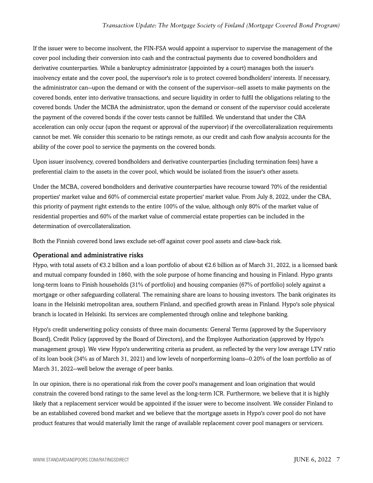If the issuer were to become insolvent, the FIN-FSA would appoint a supervisor to supervise the management of the cover pool including their conversion into cash and the contractual payments due to covered bondholders and derivative counterparties. While a bankruptcy administrator (appointed by a court) manages both the issuer's insolvency estate and the cover pool, the supervisor's role is to protect covered bondholders' interests. If necessary, the administrator can--upon the demand or with the consent of the supervisor--sell assets to make payments on the covered bonds, enter into derivative transactions, and secure liquidity in order to fulfil the obligations relating to the covered bonds. Under the MCBA the administrator, upon the demand or consent of the supervisor could accelerate the payment of the covered bonds if the cover tests cannot be fulfilled. We understand that under the CBA acceleration can only occur (upon the request or approval of the supervisor) if the overcollateralization requirements cannot be met. We consider this scenario to be ratings remote, as our credit and cash flow analysis accounts for the ability of the cover pool to service the payments on the covered bonds.

Upon issuer insolvency, covered bondholders and derivative counterparties (including termination fees) have a preferential claim to the assets in the cover pool, which would be isolated from the issuer's other assets.

Under the MCBA, covered bondholders and derivative counterparties have recourse toward 70% of the residential properties' market value and 60% of commercial estate properties' market value. From July 8, 2022, under the CBA, this priority of payment right extends to the entire 100% of the value, although only 80% of the market value of residential properties and 60% of the market value of commercial estate properties can be included in the determination of overcollateralization.

Both the Finnish covered bond laws exclude set-off against cover pool assets and claw-back risk.

#### Operational and administrative risks

Hypo, with total assets of €3.2 billion and a loan portfolio of about €2.6 billion as of March 31, 2022, is a licensed bank and mutual company founded in 1860, with the sole purpose of home financing and housing in Finland. Hypo grants long-term loans to Finish households (31% of portfolio) and housing companies (67% of portfolio) solely against a mortgage or other safeguarding collateral. The remaining share are loans to housing investors. The bank originates its loans in the Helsinki metropolitan area, southern Finland, and specified growth areas in Finland. Hypo's sole physical branch is located in Helsinki. Its services are complemented through online and telephone banking.

Hypo's credit underwriting policy consists of three main documents: General Terms (approved by the Supervisory Board), Credit Policy (approved by the Board of Directors), and the Employee Authorization (approved by Hypo's management group). We view Hypo's underwriting criteria as prudent, as reflected by the very low average LTV ratio of its loan book (34% as of March 31, 2021) and low levels of nonperforming loans--0.20% of the loan portfolio as of March 31, 2022--well below the average of peer banks.

In our opinion, there is no operational risk from the cover pool's management and loan origination that would constrain the covered bond ratings to the same level as the long-term ICR. Furthermore, we believe that it is highly likely that a replacement servicer would be appointed if the issuer were to become insolvent. We consider Finland to be an established covered bond market and we believe that the mortgage assets in Hypo's cover pool do not have product features that would materially limit the range of available replacement cover pool managers or servicers.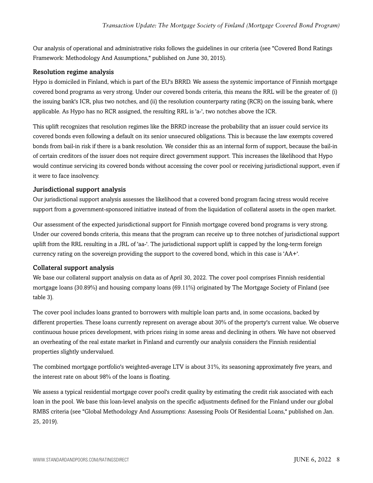Our analysis of operational and administrative risks follows the guidelines in our criteria (see "Covered Bond Ratings Framework: Methodology And Assumptions," published on June 30, 2015).

#### Resolution regime analysis

Hypo is domiciled in Finland, which is part of the EU's BRRD. We assess the systemic importance of Finnish mortgage covered bond programs as very strong. Under our covered bonds criteria, this means the RRL will be the greater of: (i) the issuing bank's ICR, plus two notches, and (ii) the resolution counterparty rating (RCR) on the issuing bank, where applicable. As Hypo has no RCR assigned, the resulting RRL is 'a-', two notches above the ICR.

This uplift recognizes that resolution regimes like the BRRD increase the probability that an issuer could service its covered bonds even following a default on its senior unsecured obligations. This is because the law exempts covered bonds from bail-in risk if there is a bank resolution. We consider this as an internal form of support, because the bail-in of certain creditors of the issuer does not require direct government support. This increases the likelihood that Hypo would continue servicing its covered bonds without accessing the cover pool or receiving jurisdictional support, even if it were to face insolvency.

#### Jurisdictional support analysis

Our jurisdictional support analysis assesses the likelihood that a covered bond program facing stress would receive support from a government-sponsored initiative instead of from the liquidation of collateral assets in the open market.

Our assessment of the expected jurisdictional support for Finnish mortgage covered bond programs is very strong. Under our covered bonds criteria, this means that the program can receive up to three notches of jurisdictional support uplift from the RRL resulting in a JRL of 'aa-'. The jurisdictional support uplift is capped by the long-term foreign currency rating on the sovereign providing the support to the covered bond, which in this case is 'AA+'.

#### Collateral support analysis

We base our collateral support analysis on data as of April 30, 2022. The cover pool comprises Finnish residential mortgage loans (30.89%) and housing company loans (69.11%) originated by The Mortgage Society of Finland (see table 3).

The cover pool includes loans granted to borrowers with multiple loan parts and, in some occasions, backed by different properties. These loans currently represent on average about 30% of the property's current value. We observe continuous house prices development, with prices rising in some areas and declining in others. We have not observed an overheating of the real estate market in Finland and currently our analysis considers the Finnish residential properties slightly undervalued.

The combined mortgage portfolio's weighted-average LTV is about 31%, its seasoning approximately five years, and the interest rate on about 98% of the loans is floating.

We assess a typical residential mortgage cover pool's credit quality by estimating the credit risk associated with each loan in the pool. We base this loan-level analysis on the specific adjustments defined for the Finland under our global RMBS criteria (see "Global Methodology And Assumptions: Assessing Pools Of Residential Loans," published on Jan. 25, 2019).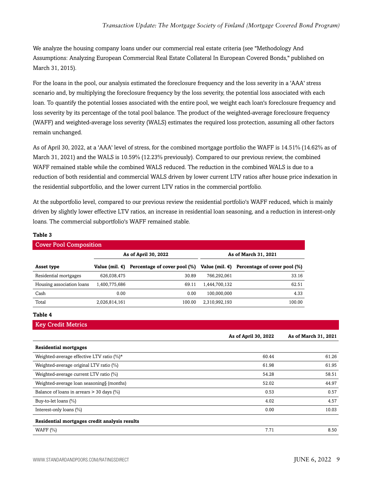We analyze the housing company loans under our commercial real estate criteria (see "Methodology And Assumptions: Analyzing European Commercial Real Estate Collateral In European Covered Bonds," published on March 31, 2015).

For the loans in the pool, our analysis estimated the foreclosure frequency and the loss severity in a 'AAA' stress scenario and, by multiplying the foreclosure frequency by the loss severity, the potential loss associated with each loan. To quantify the potential losses associated with the entire pool, we weight each loan's foreclosure frequency and loss severity by its percentage of the total pool balance. The product of the weighted-average foreclosure frequency (WAFF) and weighted-average loss severity (WALS) estimates the required loss protection, assuming all other factors remain unchanged.

As of April 30, 2022, at a 'AAA' level of stress, for the combined mortgage portfolio the WAFF is 14.51% (14.62% as of March 31, 2021) and the WALS is 10.59% (12.23% previously). Compared to our previous review, the combined WAFF remained stable while the combined WALS reduced. The reduction in the combined WALS is due to a reduction of both residential and commercial WALS driven by lower current LTV ratios after house price indexation in the residential subportfolio, and the lower current LTV ratios in the commercial portfolio.

At the subportfolio level, compared to our previous review the residential portfolio's WAFF reduced, which is mainly driven by slightly lower effective LTV ratios, an increase in residential loan seasoning, and a reduction in interest-only loans. The commercial subportfolio's WAFF remained stable.

|                                               | As of April 30, 2022 |                                                                                                             | As of March 31, 2021 |                      |                      |
|-----------------------------------------------|----------------------|-------------------------------------------------------------------------------------------------------------|----------------------|----------------------|----------------------|
| Asset type                                    |                      | Value (mil. $\epsilon$ ) Percentage of cover pool (%) Value (mil. $\epsilon$ ) Percentage of cover pool (%) |                      |                      |                      |
| Residential mortgages                         | 626,038,475          | 30.89                                                                                                       | 766,292,061          |                      | 33.16                |
| Housing association loans                     | 1,400,775,686        | 69.11                                                                                                       | 1,444,700,132        |                      | 62.51                |
| Cash                                          | 0.00                 | 0.00                                                                                                        | 100,000,000          |                      | 4.33                 |
| Total                                         | 2,026,814,161        | 100.00                                                                                                      | 2,310,992,193        |                      | 100.00               |
| Table 4                                       |                      |                                                                                                             |                      |                      |                      |
| <b>Key Credit Metrics</b>                     |                      |                                                                                                             |                      |                      |                      |
|                                               |                      |                                                                                                             |                      | As of April 30, 2022 | As of March 31, 2021 |
| <b>Residential mortgages</b>                  |                      |                                                                                                             |                      |                      |                      |
|                                               |                      |                                                                                                             |                      |                      |                      |
| Weighted-average effective LTV ratio $(\%)^*$ |                      |                                                                                                             |                      | 60.44                | 61.26                |
| Weighted-average original LTV ratio (%)       |                      |                                                                                                             |                      | 61.98                | 61.95                |
| Weighted-average current LTV ratio (%)        |                      |                                                                                                             |                      | 54.28                | 58.51                |
| Weighted-average loan seasoning§ (months)     |                      |                                                                                                             |                      | 52.02                | 44.97                |
| Balance of loans in arrears $>$ 30 days (%)   |                      |                                                                                                             |                      | 0.53                 |                      |
| Buy-to-let loans (%)                          |                      |                                                                                                             |                      | 4.02                 | 0.57<br>4.57         |

WAFF (%)  $7.71$  8.50

#### **Table 3**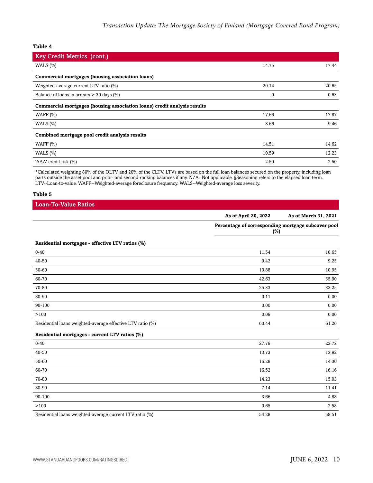**Table 4**

| <b>Key Credit Metrics (cont.)</b>                                        |              |       |
|--------------------------------------------------------------------------|--------------|-------|
| WALS $(\% )$                                                             | 14.75        | 17.44 |
| Commercial mortgages (housing association loans)                         |              |       |
| Weighted-average current LTV ratio (%)                                   | 20.14        | 20.65 |
| Balance of loans in arrears $>$ 30 days (%)                              | $\mathbf{0}$ | 0.63  |
| Commercial mortgages (housing association loans) credit analysis results |              |       |
| WAFF $(\% )$                                                             | 17.66        | 17.87 |
| WALS $(\% )$                                                             | 8.66         | 9.46  |
| Combined mortgage pool credit analysis results                           |              |       |
| WAFF $(\% )$                                                             | 14.51        | 14.62 |
| WALS $(\% )$                                                             | 10.59        | 12.23 |
| 'AAA' credit risk (%)                                                    | 2.50         | 2.50  |

\*Calculated weighting 80% of the OLTV and 20% of the CLTV. LTVs are based on the full loan balances secured on the property, including loan parts outside the asset pool and prior- and second-ranking balances if any. N/A--Not applicable. §Seasoning refers to the elapsed loan term. LTV--Loan-to-value. WAFF--Weighted-average foreclosure frequency. WALS--Weighted-average loss severity.

#### **Table 5**

| <b>Loan-To-Value Ratios</b>                                |                                                              |                      |
|------------------------------------------------------------|--------------------------------------------------------------|----------------------|
|                                                            | As of April 30, 2022                                         | As of March 31, 2021 |
|                                                            | Percentage of corresponding mortgage subcover pool<br>$(\%)$ |                      |
| Residential mortgages - effective LTV ratios (%)           |                                                              |                      |
| $0 - 40$                                                   | 11.54                                                        | 10.65                |
| 40-50                                                      | 9.42                                                         | 9.25                 |
| 50-60                                                      | 10.88                                                        | 10.95                |
| 60-70                                                      | 42.63                                                        | 35.90                |
| 70-80                                                      | 25.33                                                        | 33.25                |
| 80-90                                                      | 0.11                                                         | 0.00                 |
| 90-100                                                     | 0.00                                                         | 0.00                 |
| >100                                                       | 0.09                                                         | 0.00                 |
| Residential loans weighted-average effective LTV ratio (%) | 60.44                                                        | 61.26                |
| Residential mortgages - current LTV ratios (%)             |                                                              |                      |
| $0 - 40$                                                   | 27.79                                                        | 22.72                |
| 40-50                                                      | 13.73                                                        | 12.92                |
| 50-60                                                      | 16.28                                                        | 14.30                |
| 60-70                                                      | 16.52                                                        | 16.16                |
| 70-80                                                      | 14.23                                                        | 15.03                |
| 80-90                                                      | 7.14                                                         | 11.41                |
| 90-100                                                     | 3.66                                                         | 4.88                 |
| >100                                                       | 0.65                                                         | 2.58                 |
| Residential loans weighted-average current LTV ratio (%)   | 54.28                                                        | 58.51                |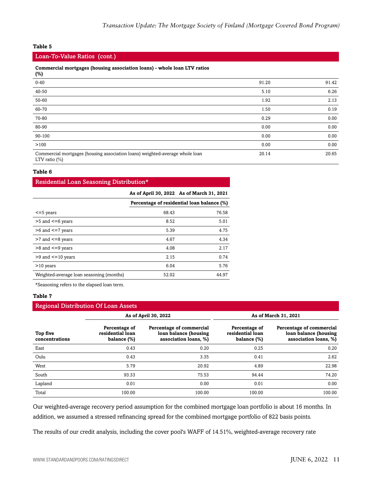#### **Table 5**

#### Loan-To-Value Ratios (cont.)

#### **Commercial mortgages (housing association loans) - whole loan LTV ratios**

| (%)                                                                                              |       |       |
|--------------------------------------------------------------------------------------------------|-------|-------|
| $0 - 40$                                                                                         | 91.20 | 91.42 |
| 40-50                                                                                            | 5.10  | 6.26  |
| 50-60                                                                                            | 1.92  | 2.13  |
| 60-70                                                                                            | 1.50  | 0.19  |
| 70-80                                                                                            | 0.29  | 0.00  |
| 80-90                                                                                            | 0.00  | 0.00  |
| 90-100                                                                                           | 0.00  | 0.00  |
| >100                                                                                             | 0.00  | 0.00  |
| Commercial mortgages (housing association loans) weighted-average whole loan<br>LTV ratio $(\%)$ | 20.14 | 20.65 |

#### **Table 6**

## Residential Loan Seasoning Distribution\* **As of April 30, 2022 As of March 31, 2021 Percentage of residential loan balance (%)**  $\le$  =5 years 68.43 76.58 >5 and <=6 years 5.01 >6 and <=7 years 5.39 4.75 >7 and <=8 years 4.34 >8 and <=9 years 2.17 >9 and <=10 years 2.15 0.74 >10 years 6.04 5.76 Weighted-average loan seasoning (months) 52.02 44.97

\*Seasoning refers to the elapsed loan term.

#### **Table 7**

#### Regional Distribution Of Loan Assets

|                            | As of April 30, 2022                             |                                                                            |                                                  | As of March 31, 2021                                                       |
|----------------------------|--------------------------------------------------|----------------------------------------------------------------------------|--------------------------------------------------|----------------------------------------------------------------------------|
| Top five<br>concentrations | Percentage of<br>residential loan<br>balance (%) | Percentage of commercial<br>loan balance (housing<br>association loans, %) | Percentage of<br>residential loan<br>balance (%) | Percentage of commercial<br>loan balance (housing<br>association loans, %) |
| East                       | 0.43                                             | 0.20                                                                       | 0.25                                             | 0.20                                                                       |
| Oulu                       | 0.43                                             | 3.35                                                                       | 0.41                                             | 2.62                                                                       |
| West                       | 5.79                                             | 20.92                                                                      | 4.89                                             | 22.98                                                                      |
| South                      | 93.33                                            | 75.53                                                                      | 94.44                                            | 74.20                                                                      |
| Lapland                    | 0.01                                             | 0.00                                                                       | 0.01                                             | 0.00                                                                       |
| Total                      | 100.00                                           | 100.00                                                                     | 100.00                                           | 100.00                                                                     |

Our weighted-average recovery period assumption for the combined mortgage loan portfolio is about 16 months. In addition, we assumed a stressed refinancing spread for the combined mortgage portfolio of 822 basis points.

The results of our credit analysis, including the cover pool's WAFF of 14.51%, weighted-average recovery rate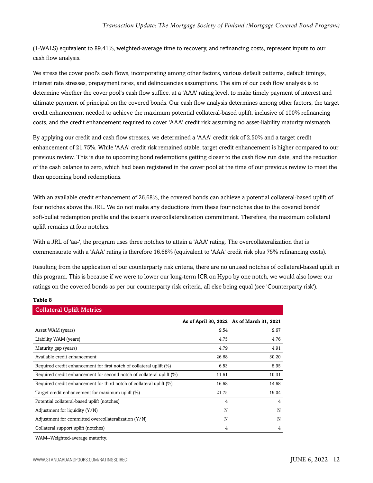(1-WALS) equivalent to 89.41%, weighted-average time to recovery, and refinancing costs, represent inputs to our cash flow analysis.

We stress the cover pool's cash flows, incorporating among other factors, various default patterns, default timings, interest rate stresses, prepayment rates, and delinquencies assumptions. The aim of our cash flow analysis is to determine whether the cover pool's cash flow suffice, at a 'AAA' rating level, to make timely payment of interest and ultimate payment of principal on the covered bonds. Our cash flow analysis determines among other factors, the target credit enhancement needed to achieve the maximum potential collateral-based uplift, inclusive of 100% refinancing costs, and the credit enhancement required to cover 'AAA' credit risk assuming no asset-liability maturity mismatch.

By applying our credit and cash flow stresses, we determined a 'AAA' credit risk of 2.50% and a target credit enhancement of 21.75%. While 'AAA' credit risk remained stable, target credit enhancement is higher compared to our previous review. This is due to upcoming bond redemptions getting closer to the cash flow run date, and the reduction of the cash balance to zero, which had been registered in the cover pool at the time of our previous review to meet the then upcoming bond redemptions.

With an available credit enhancement of 26.68%, the covered bonds can achieve a potential collateral-based uplift of four notches above the JRL. We do not make any deductions from these four notches due to the covered bonds' soft-bullet redemption profile and the issuer's overcollateralization commitment. Therefore, the maximum collateral uplift remains at four notches.

With a JRL of 'aa-', the program uses three notches to attain a 'AAA' rating. The overcollateralization that is commensurate with a 'AAA' rating is therefore 16.68% (equivalent to 'AAA' credit risk plus 75% refinancing costs).

Resulting from the application of our counterparty risk criteria, there are no unused notches of collateral-based uplift in this program. This is because if we were to lower our long-term ICR on Hypo by one notch, we would also lower our ratings on the covered bonds as per our counterparty risk criteria, all else being equal (see 'Counterparty risk').

| Table 8                                                               |       |                                           |
|-----------------------------------------------------------------------|-------|-------------------------------------------|
| <b>Collateral Uplift Metrics</b>                                      |       |                                           |
|                                                                       |       | As of April 30, 2022 As of March 31, 2021 |
| Asset WAM (years)                                                     | 9.54  | 9.67                                      |
| Liability WAM (years)                                                 | 4.75  | 4.76                                      |
| Maturity gap (years)                                                  | 4.79  | 4.91                                      |
| Available credit enhancement                                          | 26.68 | 30.20                                     |
| Required credit enhancement for first notch of collateral uplift (%)  | 6.53  | 5.95                                      |
| Required credit enhancement for second notch of collateral uplift (%) | 11.61 | 10.31                                     |
| Required credit enhancement for third notch of collateral uplift (%)  | 16.68 | 14.68                                     |
| Target credit enhancement for maximum uplift (%)                      | 21.75 | 19.04                                     |
| Potential collateral-based uplift (notches)                           | 4     | 4                                         |
| Adjustment for liquidity (Y/N)                                        | N     | N                                         |
| Adjustment for committed overcollateralization (Y/N)                  | N     | N                                         |
| Collateral support uplift (notches)                                   | 4     | 4                                         |

WAM--Weighted-average maturity.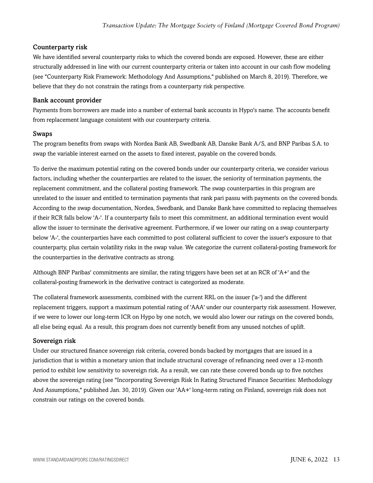#### Counterparty risk

We have identified several counterparty risks to which the covered bonds are exposed. However, these are either structurally addressed in line with our current counterparty criteria or taken into account in our cash flow modeling (see "Counterparty Risk Framework: Methodology And Assumptions," published on March 8, 2019). Therefore, we believe that they do not constrain the ratings from a counterparty risk perspective.

#### Bank account provider

Payments from borrowers are made into a number of external bank accounts in Hypo's name. The accounts benefit from replacement language consistent with our counterparty criteria.

#### Swaps

The program benefits from swaps with Nordea Bank AB, Swedbank AB, Danske Bank A/S, and BNP Paribas S.A. to swap the variable interest earned on the assets to fixed interest, payable on the covered bonds.

To derive the maximum potential rating on the covered bonds under our counterparty criteria, we consider various factors, including whether the counterparties are related to the issuer, the seniority of termination payments, the replacement commitment, and the collateral posting framework. The swap counterparties in this program are unrelated to the issuer and entitled to termination payments that rank pari passu with payments on the covered bonds. According to the swap documentation, Nordea, Swedbank, and Danske Bank have committed to replacing themselves if their RCR falls below 'A-'. If a counterparty fails to meet this commitment, an additional termination event would allow the issuer to terminate the derivative agreement. Furthermore, if we lower our rating on a swap counterparty below 'A-', the counterparties have each committed to post collateral sufficient to cover the issuer's exposure to that counterparty, plus certain volatility risks in the swap value. We categorize the current collateral-posting framework for the counterparties in the derivative contracts as strong.

Although BNP Paribas' commitments are similar, the rating triggers have been set at an RCR of 'A+' and the collateral-posting framework in the derivative contract is categorized as moderate.

The collateral framework assessments, combined with the current RRL on the issuer ('a-') and the different replacement triggers, support a maximum potential rating of 'AAA' under our counterparty risk assessment. However, if we were to lower our long-term ICR on Hypo by one notch, we would also lower our ratings on the covered bonds, all else being equal. As a result, this program does not currently benefit from any unused notches of uplift.

#### Sovereign risk

Under our structured finance sovereign risk criteria, covered bonds backed by mortgages that are issued in a jurisdiction that is within a monetary union that include structural coverage of refinancing need over a 12-month period to exhibit low sensitivity to sovereign risk. As a result, we can rate these covered bonds up to five notches above the sovereign rating (see "Incorporating Sovereign Risk In Rating Structured Finance Securities: Methodology And Assumptions," published Jan. 30, 2019). Given our 'AA+' long-term rating on Finland, sovereign risk does not constrain our ratings on the covered bonds.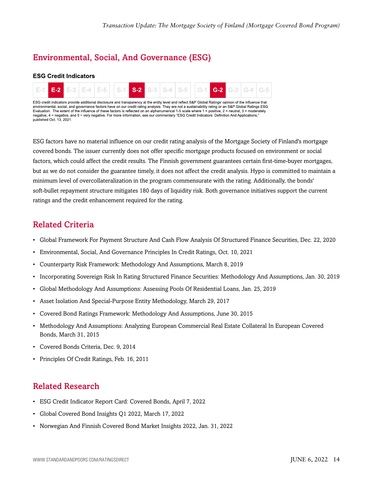## <span id="page-13-0"></span>Environmental, Social, And Governance (ESG)

#### **ESG Credit Indicators**

published Oct. 13, 2021.



ESG factors have no material influence on our credit rating analysis of the Mortgage Society of Finland's mortgage covered bonds. The issuer currently does not offer specific mortgage products focused on environment or social factors, which could affect the credit results. The Finnish government guarantees certain first-time-buyer mortgages, but as we do not consider the guarantee timely, it does not affect the credit analysis. Hypo is committed to maintain a minimum level of overcollateralization in the program commensurate with the rating. Additionally, the bonds' soft-bullet repayment structure mitigates 180 days of liquidity risk. Both governance initiatives support the current ratings and the credit enhancement required for the rating.

### <span id="page-13-1"></span>Related Criteria

- Global Framework For Payment Structure And Cash Flow Analysis Of Structured Finance Securities, Dec. 22, 2020
- Environmental, Social, And Governance Principles In Credit Ratings, Oct. 10, 2021
- Counterparty Risk Framework: Methodology And Assumptions, March 8, 2019
- Incorporating Sovereign Risk In Rating Structured Finance Securities: Methodology And Assumptions, Jan. 30, 2019
- Global Methodology And Assumptions: Assessing Pools Of Residential Loans, Jan. 25, 2019
- Asset Isolation And Special-Purpose Entity Methodology, March 29, 2017
- Covered Bond Ratings Framework: Methodology And Assumptions, June 30, 2015
- Methodology And Assumptions: Analyzing European Commercial Real Estate Collateral In European Covered Bonds, March 31, 2015
- Covered Bonds Criteria, Dec. 9, 2014
- Principles Of Credit Ratings, Feb. 16, 2011

### <span id="page-13-2"></span>Related Research

- ESG Credit Indicator Report Card: Covered Bonds, April 7, 2022
- Global Covered Bond Insights Q1 2022, March 17, 2022
- Norwegian And Finnish Covered Bond Market Insights 2022, Jan. 31, 2022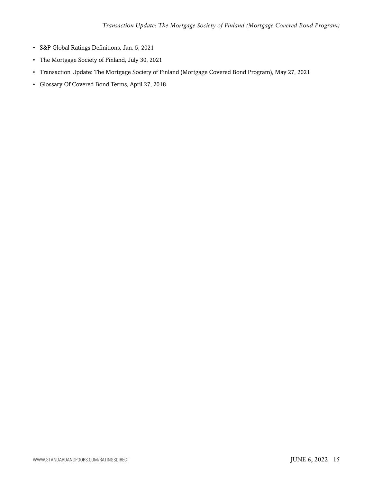- S&P Global Ratings Definitions, Jan. 5, 2021
- The Mortgage Society of Finland, July 30, 2021
- Transaction Update: The Mortgage Society of Finland (Mortgage Covered Bond Program), May 27, 2021
- Glossary Of Covered Bond Terms, April 27, 2018